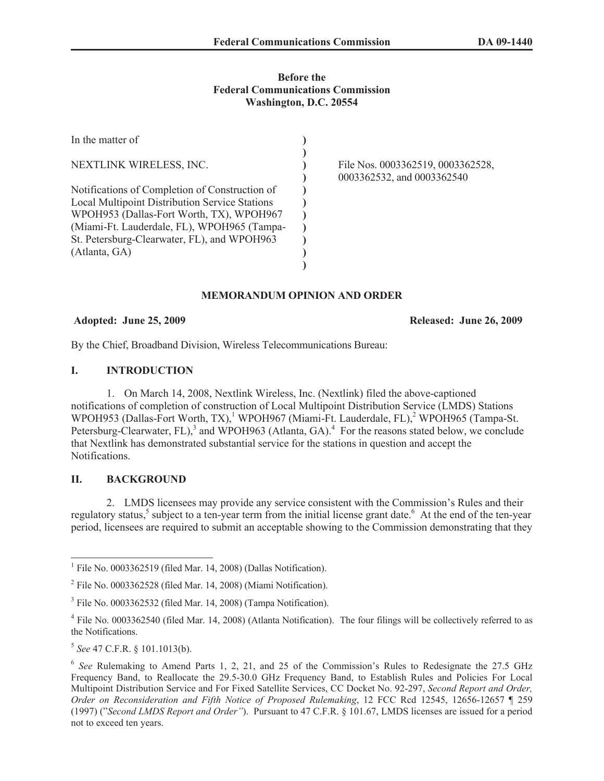### **Before the Federal Communications Commission Washington, D.C. 20554**

| In the matter of                               |                                                                 |
|------------------------------------------------|-----------------------------------------------------------------|
| NEXTLINK WIRELESS, INC.                        | File Nos. 0003362519, 0003362528,<br>0003362532, and 0003362540 |
| Notifications of Completion of Construction of |                                                                 |
| Local Multipoint Distribution Service Stations |                                                                 |
| WPOH953 (Dallas-Fort Worth, TX), WPOH967       |                                                                 |
| (Miami-Ft. Lauderdale, FL), WPOH965 (Tampa-    |                                                                 |
| St. Petersburg-Clearwater, FL), and WPOH963    |                                                                 |
| (Atlanta, GA)                                  |                                                                 |
|                                                |                                                                 |

# **MEMORANDUM OPINION AND ORDER**

## **Adopted: June 25, 2009 Released: June 26, 2009**

By the Chief, Broadband Division, Wireless Telecommunications Bureau:

## **I. INTRODUCTION**

1. On March 14, 2008, Nextlink Wireless, Inc. (Nextlink) filed the above-captioned notifications of completion of construction of Local Multipoint Distribution Service (LMDS) Stations WPOH953 (Dallas-Fort Worth, TX),<sup>1</sup> WPOH967 (Miami-Ft. Lauderdale, FL),<sup>2</sup> WPOH965 (Tampa-St. Petersburg-Clearwater, FL $)$ ,<sup>3</sup> and WPOH963 (Atlanta, GA).<sup>4</sup> For the reasons stated below, we conclude that Nextlink has demonstrated substantial service for the stations in question and accept the Notifications.

# **II. BACKGROUND**

2. LMDS licensees may provide any service consistent with the Commission's Rules and their regulatory status,<sup>5</sup> subject to a ten-year term from the initial license grant date.<sup>6</sup> At the end of the ten-year period, licensees are required to submit an acceptable showing to the Commission demonstrating that they

<sup>&</sup>lt;sup>1</sup> File No. 0003362519 (filed Mar. 14, 2008) (Dallas Notification).

<sup>&</sup>lt;sup>2</sup> File No. 0003362528 (filed Mar. 14, 2008) (Miami Notification).

<sup>&</sup>lt;sup>3</sup> File No. 0003362532 (filed Mar. 14, 2008) (Tampa Notification).

<sup>&</sup>lt;sup>4</sup> File No. 0003362540 (filed Mar. 14, 2008) (Atlanta Notification). The four filings will be collectively referred to as the Notifications.

<sup>5</sup> *See* 47 C.F.R. § 101.1013(b).

<sup>&</sup>lt;sup>6</sup> See Rulemaking to Amend Parts 1, 2, 21, and 25 of the Commission's Rules to Redesignate the 27.5 GHz Frequency Band, to Reallocate the 29.5-30.0 GHz Frequency Band, to Establish Rules and Policies For Local Multipoint Distribution Service and For Fixed Satellite Services, CC Docket No. 92-297, *Second Report and Order, Order on Reconsideration and Fifth Notice of Proposed Rulemaking*, 12 FCC Rcd 12545, 12656-12657 ¶ 259 (1997) ("*Second LMDS Report and Order"*). Pursuant to 47 C.F.R. § 101.67, LMDS licenses are issued for a period not to exceed ten years.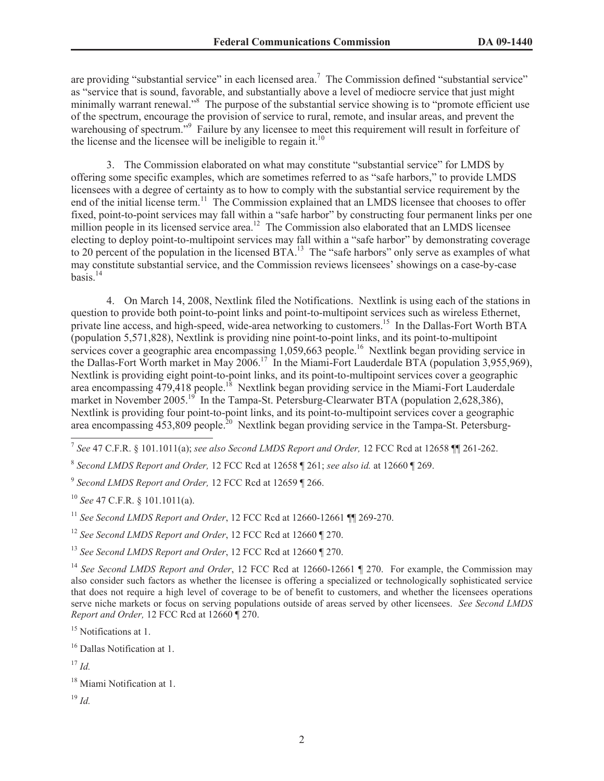are providing "substantial service" in each licensed area.<sup>7</sup> The Commission defined "substantial service" as "service that is sound, favorable, and substantially above a level of mediocre service that just might minimally warrant renewal."<sup>8</sup> The purpose of the substantial service showing is to "promote efficient use of the spectrum, encourage the provision of service to rural, remote, and insular areas, and prevent the warehousing of spectrum."<sup>9</sup> Failure by any licensee to meet this requirement will result in forfeiture of the license and the licensee will be ineligible to regain it.<sup>10</sup>

3. The Commission elaborated on what may constitute "substantial service" for LMDS by offering some specific examples, which are sometimes referred to as "safe harbors," to provide LMDS licensees with a degree of certainty as to how to comply with the substantial service requirement by the end of the initial license term.<sup>11</sup> The Commission explained that an LMDS licensee that chooses to offer fixed, point-to-point services may fall within a "safe harbor" by constructing four permanent links per one million people in its licensed service area.<sup>12</sup> The Commission also elaborated that an LMDS licensee electing to deploy point-to-multipoint services may fall within a "safe harbor" by demonstrating coverage to 20 percent of the population in the licensed BTA.<sup>13</sup> The "safe harbors" only serve as examples of what may constitute substantial service, and the Commission reviews licensees' showings on a case-by-case basis.<sup>14</sup>

4. On March 14, 2008, Nextlink filed the Notifications. Nextlink is using each of the stations in question to provide both point-to-point links and point-to-multipoint services such as wireless Ethernet, private line access, and high-speed, wide-area networking to customers.<sup>15</sup> In the Dallas-Fort Worth BTA (population 5,571,828), Nextlink is providing nine point-to-point links, and its point-to-multipoint services cover a geographic area encompassing 1,059,663 people.<sup>16</sup> Nextlink began providing service in the Dallas-Fort Worth market in May 2006.<sup>17</sup> In the Miami-Fort Lauderdale BTA (population 3,955,969), Nextlink is providing eight point-to-point links, and its point-to-multipoint services cover a geographic area encompassing 479,418 people.<sup>18</sup> Nextlink began providing service in the Miami-Fort Lauderdale market in November 2005.<sup>19</sup> In the Tampa-St. Petersburg-Clearwater BTA (population 2,628,386), Nextlink is providing four point-to-point links, and its point-to-multipoint services cover a geographic area encompassing  $\overline{453,809}$  people.<sup>20</sup> Nextlink began providing service in the Tampa-St. Petersburg-

<sup>12</sup> *See Second LMDS Report and Order*, 12 FCC Rcd at 12660 ¶ 270.

<sup>7</sup> *See* 47 C.F.R. § 101.1011(a); *see also Second LMDS Report and Order,* 12 FCC Rcd at 12658 ¶¶ 261-262.

<sup>8</sup> *Second LMDS Report and Order,* 12 FCC Rcd at 12658 ¶ 261; *see also id.* at 12660 ¶ 269.

<sup>9</sup> *Second LMDS Report and Order,* 12 FCC Rcd at 12659 ¶ 266.

<sup>10</sup> *See* 47 C.F.R. § 101.1011(a).

<sup>11</sup> *See Second LMDS Report and Order*, 12 FCC Rcd at 12660-12661 ¶¶ 269-270.

<sup>13</sup> *See Second LMDS Report and Order*, 12 FCC Rcd at 12660 ¶ 270.

<sup>&</sup>lt;sup>14</sup> See Second LMDS Report and Order, 12 FCC Rcd at 12660-12661 ¶ 270. For example, the Commission may also consider such factors as whether the licensee is offering a specialized or technologically sophisticated service that does not require a high level of coverage to be of benefit to customers, and whether the licensees operations serve niche markets or focus on serving populations outside of areas served by other licensees. *See Second LMDS Report and Order,* 12 FCC Rcd at 12660 ¶ 270.

<sup>&</sup>lt;sup>15</sup> Notifications at 1.

<sup>&</sup>lt;sup>16</sup> Dallas Notification at 1.

 $17$  *Id.* 

<sup>&</sup>lt;sup>18</sup> Miami Notification at 1.

<sup>19</sup> *Id.*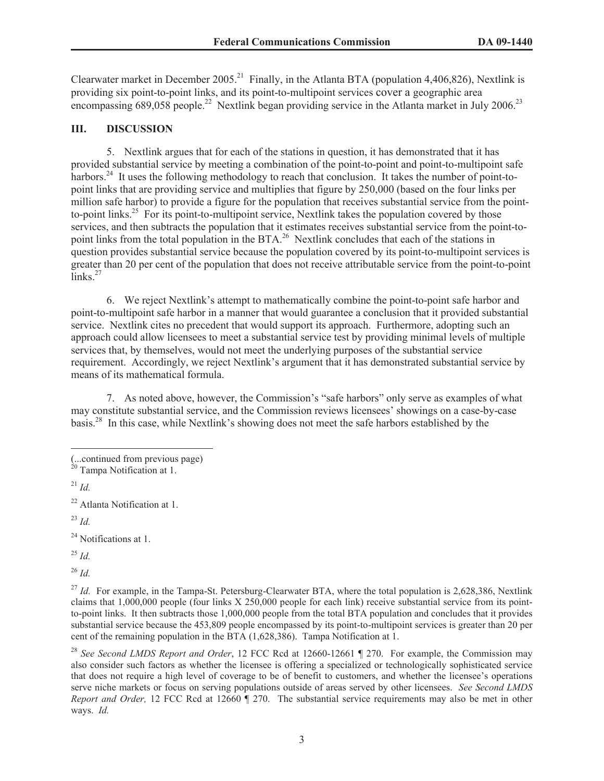Clearwater market in December 2005.<sup>21</sup> Finally, in the Atlanta BTA (population 4,406,826), Nextlink is providing six point-to-point links, and its point-to-multipoint services cover a geographic area encompassing 689,058 people.<sup>22</sup> Nextlink began providing service in the Atlanta market in July 2006.<sup>23</sup>

### **III. DISCUSSION**

5. Nextlink argues that for each of the stations in question, it has demonstrated that it has provided substantial service by meeting a combination of the point-to-point and point-to-multipoint safe harbors.<sup>24</sup> It uses the following methodology to reach that conclusion. It takes the number of point-topoint links that are providing service and multiplies that figure by 250,000 (based on the four links per million safe harbor) to provide a figure for the population that receives substantial service from the pointto-point links.<sup>25</sup> For its point-to-multipoint service, Nextlink takes the population covered by those services, and then subtracts the population that it estimates receives substantial service from the point-topoint links from the total population in the BTA.<sup>26</sup> Nextlink concludes that each of the stations in question provides substantial service because the population covered by its point-to-multipoint services is greater than 20 per cent of the population that does not receive attributable service from the point-to-point links.<sup>27</sup>

6. We reject Nextlink's attempt to mathematically combine the point-to-point safe harbor and point-to-multipoint safe harbor in a manner that would guarantee a conclusion that it provided substantial service. Nextlink cites no precedent that would support its approach. Furthermore, adopting such an approach could allow licensees to meet a substantial service test by providing minimal levels of multiple services that, by themselves, would not meet the underlying purposes of the substantial service requirement. Accordingly, we reject Nextlink's argument that it has demonstrated substantial service by means of its mathematical formula.

7. As noted above, however, the Commission's "safe harbors" only serve as examples of what may constitute substantial service, and the Commission reviews licensees' showings on a case-by-case basis.<sup>28</sup> In this case, while Nextlink's showing does not meet the safe harbors established by the

<sup>23</sup> *Id.*

<sup>24</sup> Notifications at 1.

<sup>25</sup> *Id.*

<sup>26</sup> *Id.*

<sup>27</sup> *Id.* For example, in the Tampa-St. Petersburg-Clearwater BTA, where the total population is 2,628,386, Nextlink claims that 1,000,000 people (four links X 250,000 people for each link) receive substantial service from its pointto-point links. It then subtracts those 1,000,000 people from the total BTA population and concludes that it provides substantial service because the 453,809 people encompassed by its point-to-multipoint services is greater than 20 per cent of the remaining population in the BTA (1,628,386). Tampa Notification at 1.

<sup>28</sup> *See Second LMDS Report and Order*, 12 FCC Rcd at 12660-12661 ¶ 270. For example, the Commission may also consider such factors as whether the licensee is offering a specialized or technologically sophisticated service that does not require a high level of coverage to be of benefit to customers, and whether the licensee's operations serve niche markets or focus on serving populations outside of areas served by other licensees. *See Second LMDS Report and Order,* 12 FCC Rcd at 12660 ¶ 270. The substantial service requirements may also be met in other ways. *Id.*

<sup>(...</sup>continued from previous page)

Tampa Notification at 1.

 $^{21}$  *Id.* 

<sup>22</sup> Atlanta Notification at 1.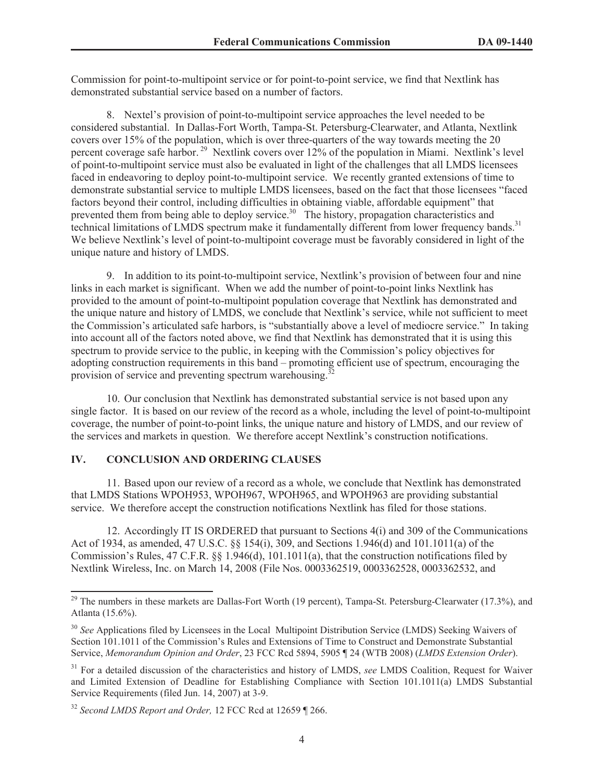Commission for point-to-multipoint service or for point-to-point service, we find that Nextlink has demonstrated substantial service based on a number of factors.

8. Nextel's provision of point-to-multipoint service approaches the level needed to be considered substantial. In Dallas-Fort Worth, Tampa-St. Petersburg-Clearwater, and Atlanta, Nextlink covers over 15% of the population, which is over three-quarters of the way towards meeting the 20 percent coverage safe harbor. <sup>29</sup> Nextlink covers over 12% of the population in Miami. Nextlink's level of point-to-multipoint service must also be evaluated in light of the challenges that all LMDS licensees faced in endeavoring to deploy point-to-multipoint service. We recently granted extensions of time to demonstrate substantial service to multiple LMDS licensees, based on the fact that those licensees "faced factors beyond their control, including difficulties in obtaining viable, affordable equipment" that prevented them from being able to deploy service.<sup>30</sup> The history, propagation characteristics and technical limitations of LMDS spectrum make it fundamentally different from lower frequency bands.<sup>31</sup> We believe Nextlink's level of point-to-multipoint coverage must be favorably considered in light of the unique nature and history of LMDS.

9. In addition to its point-to-multipoint service, Nextlink's provision of between four and nine links in each market is significant. When we add the number of point-to-point links Nextlink has provided to the amount of point-to-multipoint population coverage that Nextlink has demonstrated and the unique nature and history of LMDS, we conclude that Nextlink's service, while not sufficient to meet the Commission's articulated safe harbors, is "substantially above a level of mediocre service." In taking into account all of the factors noted above, we find that Nextlink has demonstrated that it is using this spectrum to provide service to the public, in keeping with the Commission's policy objectives for adopting construction requirements in this band – promoting efficient use of spectrum, encouraging the provision of service and preventing spectrum warehousing.<sup>3</sup>

10. Our conclusion that Nextlink has demonstrated substantial service is not based upon any single factor. It is based on our review of the record as a whole, including the level of point-to-multipoint coverage, the number of point-to-point links, the unique nature and history of LMDS, and our review of the services and markets in question. We therefore accept Nextlink's construction notifications.

## **IV. CONCLUSION AND ORDERING CLAUSES**

11. Based upon our review of a record as a whole, we conclude that Nextlink has demonstrated that LMDS Stations WPOH953, WPOH967, WPOH965, and WPOH963 are providing substantial service. We therefore accept the construction notifications Nextlink has filed for those stations.

12. Accordingly IT IS ORDERED that pursuant to Sections 4(i) and 309 of the Communications Act of 1934, as amended, 47 U.S.C. §§ 154(i), 309, and Sections 1.946(d) and 101.1011(a) of the Commission's Rules, 47 C.F.R. §§ 1.946(d), 101.1011(a), that the construction notifications filed by Nextlink Wireless, Inc. on March 14, 2008 (File Nos. 0003362519, 0003362528, 0003362532, and

<sup>&</sup>lt;sup>29</sup> The numbers in these markets are Dallas-Fort Worth (19 percent), Tampa-St. Petersburg-Clearwater (17.3%), and Atlanta (15.6%).

<sup>&</sup>lt;sup>30</sup> See Applications filed by Licensees in the Local Multipoint Distribution Service (LMDS) Seeking Waivers of Section 101.1011 of the Commission's Rules and Extensions of Time to Construct and Demonstrate Substantial Service, *Memorandum Opinion and Order*, 23 FCC Rcd 5894, 5905 ¶ 24 (WTB 2008) (*LMDS Extension Order*).

<sup>31</sup> For a detailed discussion of the characteristics and history of LMDS, *see* LMDS Coalition, Request for Waiver and Limited Extension of Deadline for Establishing Compliance with Section 101.1011(a) LMDS Substantial Service Requirements (filed Jun. 14, 2007) at 3-9.

<sup>32</sup> *Second LMDS Report and Order,* 12 FCC Rcd at 12659 ¶ 266.